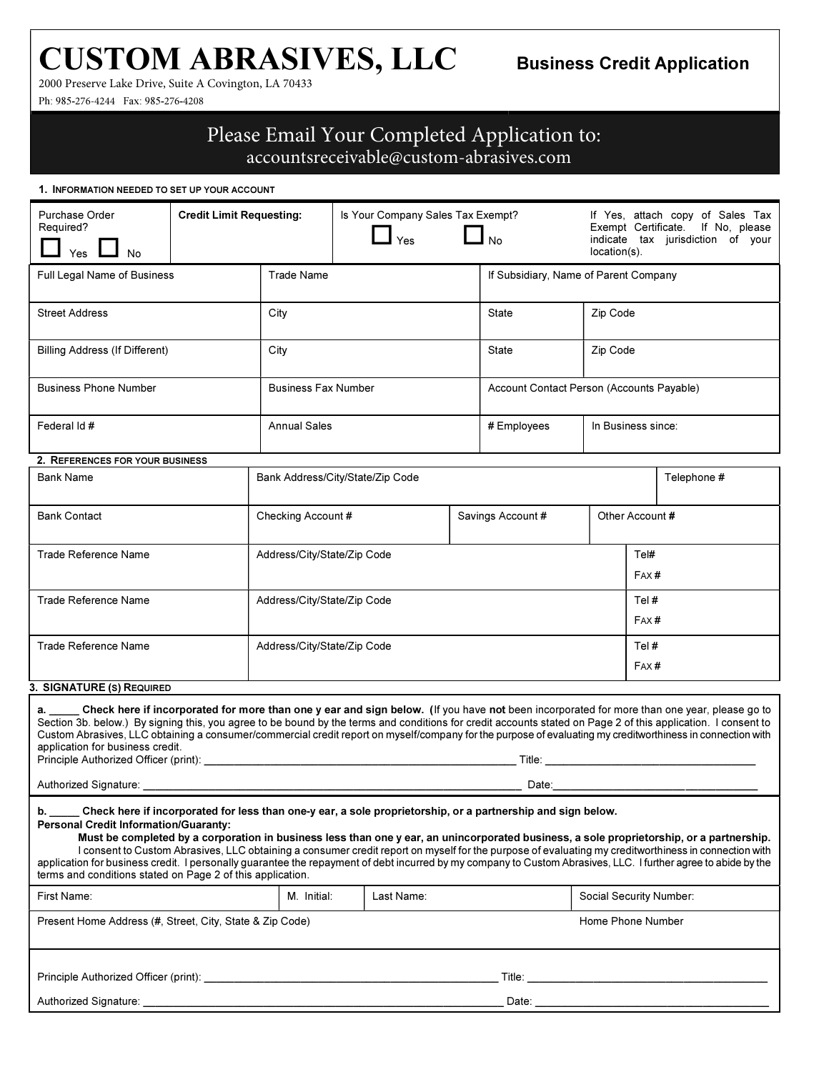# CUSTOM ABRASIVES, LLC

2000 Preserve Lake Drive, Suite A Covington, LA 70433

Ph: 985-276-4244 Fax: 985-276-4208

## Please Email Your Completed Application to:

accountsreceivable@custom-abrasives.com

1. INFORMATION NEEDED TO SET UP YOUR ACCOUNT

| Purchase Order<br>Required?<br>Yes | <b>Credit Limit Requesting:</b> |                            | Is Your Company Sales Tax Exempt?<br>Yes | No                                        | If Yes, attach copy of Sales Tax<br>Exempt Certificate. If No. please<br>tax jurisdiction of your<br>indicate<br>$location(s)$ . |  |
|------------------------------------|---------------------------------|----------------------------|------------------------------------------|-------------------------------------------|----------------------------------------------------------------------------------------------------------------------------------|--|
| Full Legal Name of Business        |                                 | Trade Name                 |                                          |                                           | If Subsidiary, Name of Parent Company                                                                                            |  |
| <b>Street Address</b>              |                                 | City                       |                                          | State                                     | Zip Code                                                                                                                         |  |
| Billing Address (If Different)     |                                 | City                       |                                          | State                                     | Zip Code                                                                                                                         |  |
| <b>Business Phone Number</b>       |                                 | <b>Business Fax Number</b> |                                          | Account Contact Person (Accounts Payable) |                                                                                                                                  |  |
| Federal Id #                       |                                 | <b>Annual Sales</b>        |                                          | # Employees                               | In Business since:                                                                                                               |  |

#### 2. REFERENCES FOR YOUR BUSINESS

| <b>Bank Name</b>            | Bank Address/City/State/Zip Code | Telephone #       |  |                 |
|-----------------------------|----------------------------------|-------------------|--|-----------------|
| <b>Bank Contact</b>         | Checking Account #               | Savings Account # |  | Other Account # |
| <b>Trade Reference Name</b> | Address/City/State/Zip Code      |                   |  | Tel#<br>FAX#    |
| Trade Reference Name        | Address/City/State/Zip Code      |                   |  | Tel#<br>FAX#    |
| Trade Reference Name        | Address/City/State/Zip Code      |                   |  | Tel#<br>FAX#    |

#### 3. SIGNATURE (S) REQUIRED

Check here if incorporated for more than one y ear and sign below. (If you have not been incorporated for more than one year, please go to Section 3b. below.) By signing this, you agree to be bound by the terms and conditions for credit accounts stated on Page 2 of this application. I consent to Custom Abrasives, LLC obtaining a consumer/commercial credit report on myself/company for the purpose of evaluating my creditworthiness in connection with application for business credit. Principle Authorized Officer (print): \_\_\_\_\_\_\_\_\_\_\_\_\_\_\_\_\_\_\_\_\_\_\_\_\_\_\_\_\_\_\_\_\_\_\_\_\_\_\_\_\_\_\_\_\_\_\_\_\_\_\_\_ Title: \_\_\_\_\_\_\_\_\_\_\_\_\_\_\_\_\_\_\_\_\_\_\_\_\_\_\_\_\_\_\_\_\_\_\_ Authorized Signature: \_\_\_\_\_\_\_\_\_\_\_\_\_\_\_\_\_\_\_\_\_\_\_\_\_\_\_\_\_\_\_\_\_\_\_\_\_\_\_\_\_\_\_\_\_\_\_\_\_\_\_\_\_\_\_\_\_\_\_\_\_\_\_ Date:\_\_\_\_\_\_\_\_\_\_\_\_\_\_\_\_\_\_\_\_\_\_\_\_\_\_\_\_\_\_\_\_\_\_ b. \_\_\_\_\_ Check here if incorporated for less than one-y ear, a sole proprietorship, or a partnership and sign below. Personal Credit Information/Guaranty: Must be completed by a corporation in business less than one y ear, an unincorporated business, a sole proprietorship, or a partnership. I consent to Custom Abrasives, LLC obtaining a consumer credit report on myself for the purpose of evaluating my creditworthiness in connection with application for business credit. I personally guarantee the repayment of debt incurred by my company to Custom Abrasives, LLC. I further agree to abide by the terms and conditions stated on Page 2 of this application. First Name: Social Security Number: Name: Name: Social Security Number: Social Security Number: Present Home Address (#, Street, City, State & Zip Code) entitled and the extended to the Mumber Phone Number

| Principle Authorized Officer (print): |
|---------------------------------------|
|---------------------------------------|

| Authorized Signature: |      |  |
|-----------------------|------|--|
| . .                   | Date |  |

 $\blacksquare$  Title:  $\blacksquare$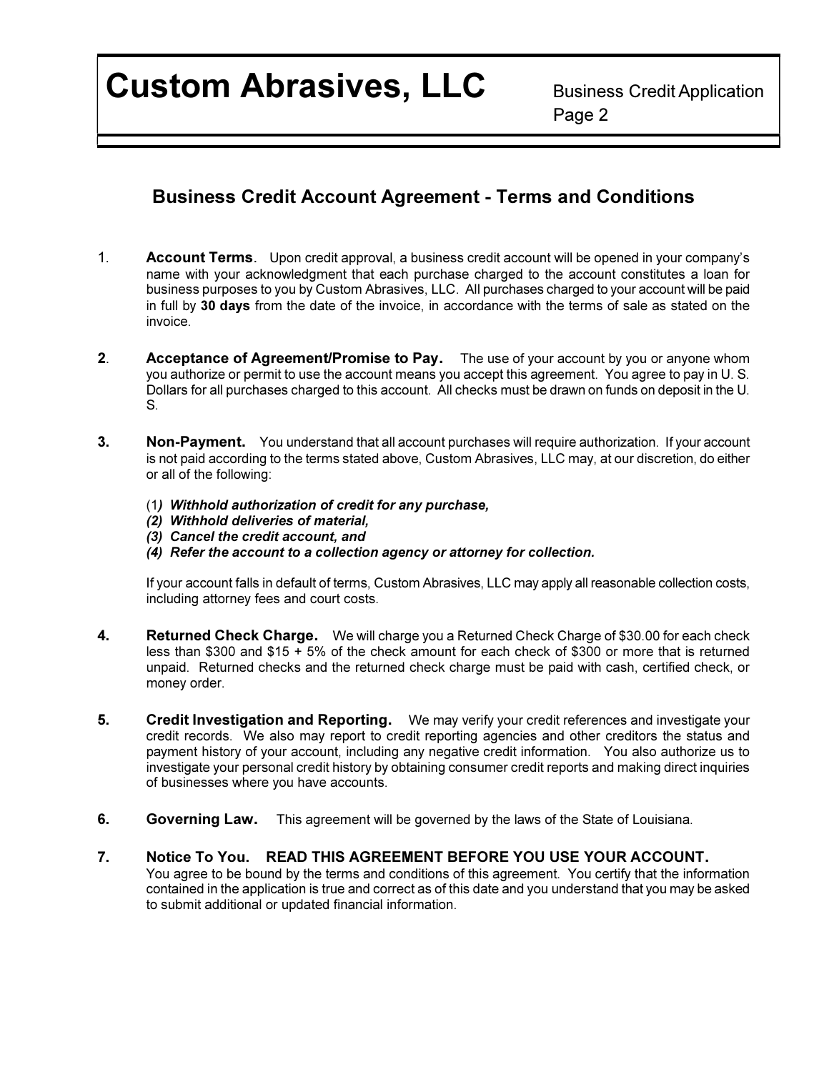Custom Abrasives, LLC Business Credit Application

en de la provincia de la provincia de la provincia de la provincia de la provincia de la provincia de la provi

## Business Credit Account Agreement - Terms and Conditions

- 1. Account Terms. Upon credit approval, a business credit account will be opened in your company's name with your acknowledgment that each purchase charged to the account constitutes a loan for business purposes to you by Custom Abrasives, LLC. All purchases charged to your account will be paid in full by 30 days from the date of the invoice, in accordance with the terms of sale as stated on the invoice.
- **2.** Acceptance of Agreement/Promise to Pay. The use of your account by you or anyone whom you authorize or permit to use the account means you accept this agreement. You agree to pay in U. S. Dollars for all purchases charged to this account. All checks must be drawn on funds on deposit in the U. S.
- 3. Non-Payment. You understand that all account purchases will require authorization. If your account is not paid according to the terms stated above, Custom Abrasives, LLC may, at our discretion, do either or all of the following:
	- (1) Withhold authorization of credit for any purchase,
	- (2) Withhold deliveries of material,
	- (3) Cancel the credit account, and
	- (4) Refer the account to a collection agency or attorney for collection.

If your account falls in default of terms, Custom Abrasives, LLC may apply all reasonable collection costs, including attorney fees and court costs.

- 4. Returned Check Charge. We will charge you a Returned Check Charge of \$30.00 for each check less than \$300 and \$15 + 5% of the check amount for each check of \$300 or more that is returned unpaid. Returned checks and the returned check charge must be paid with cash, certified check, or money order.
- 5. Credit Investigation and Reporting. We may verify your credit references and investigate your credit records. We also may report to credit reporting agencies and other creditors the status and payment history of your account, including any negative credit information. You also authorize us to investigate your personal credit history by obtaining consumer credit reports and making direct inquiries of businesses where you have accounts.
- 6. Governing Law. This agreement will be governed by the laws of the State of Louisiana.

### 7. Notice To You. READ THIS AGREEMENT BEFORE YOU USE YOUR ACCOUNT.

You agree to be bound by the terms and conditions of this agreement. You certify that the information contained in the application is true and correct as of this date and you understand that you may be asked to submit additional or updated financial information.